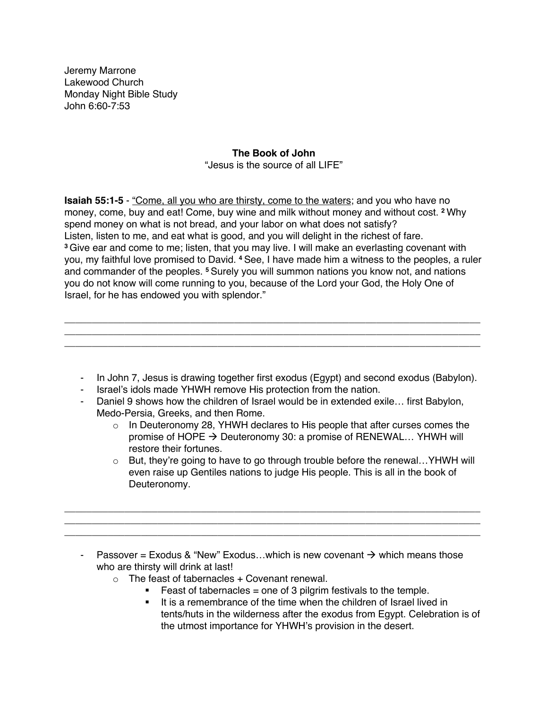Jeremy Marrone Lakewood Church Monday Night Bible Study John 6:60-7:53

# **The Book of John**

"Jesus is the source of all LIFE"

**Isaiah 55:1-5** - "Come, all you who are thirsty, come to the waters; and you who have no money, come, buy and eat! Come, buy wine and milk without money and without cost. **<sup>2</sup>** Why spend money on what is not bread, and your labor on what does not satisfy? Listen, listen to me, and eat what is good, and you will delight in the richest of fare. **<sup>3</sup>** Give ear and come to me; listen, that you may live. I will make an everlasting covenant with you, my faithful love promised to David. **<sup>4</sup>** See, I have made him a witness to the peoples, a ruler and commander of the peoples. **<sup>5</sup>** Surely you will summon nations you know not, and nations you do not know will come running to you, because of the Lord your God, the Holy One of Israel, for he has endowed you with splendor."

\_\_\_\_\_\_\_\_\_\_\_\_\_\_\_\_\_\_\_\_\_\_\_\_\_\_\_\_\_\_\_\_\_\_\_\_\_\_\_\_\_\_\_\_\_\_\_\_\_\_\_\_\_\_\_\_\_\_\_\_\_\_\_\_\_\_\_\_\_\_\_\_\_\_\_\_ \_\_\_\_\_\_\_\_\_\_\_\_\_\_\_\_\_\_\_\_\_\_\_\_\_\_\_\_\_\_\_\_\_\_\_\_\_\_\_\_\_\_\_\_\_\_\_\_\_\_\_\_\_\_\_\_\_\_\_\_\_\_\_\_\_\_\_\_\_\_\_\_\_\_\_\_ \_\_\_\_\_\_\_\_\_\_\_\_\_\_\_\_\_\_\_\_\_\_\_\_\_\_\_\_\_\_\_\_\_\_\_\_\_\_\_\_\_\_\_\_\_\_\_\_\_\_\_\_\_\_\_\_\_\_\_\_\_\_\_\_\_\_\_\_\_\_\_\_\_\_\_\_

- In John 7, Jesus is drawing together first exodus (Egypt) and second exodus (Babylon).
- Israel's idols made YHWH remove His protection from the nation.
- Daniel 9 shows how the children of Israel would be in extended exile… first Babylon, Medo-Persia, Greeks, and then Rome.
	- $\circ$  In Deuteronomy 28, YHWH declares to His people that after curses comes the promise of HOPE  $\rightarrow$  Deuteronomy 30: a promise of RENEWAL... YHWH will restore their fortunes.
	- $\circ$  But, they're going to have to go through trouble before the renewal... YHWH will even raise up Gentiles nations to judge His people. This is all in the book of Deuteronomy.
- Passover = Exodus & "New" Exodus...which is new covenant  $\rightarrow$  which means those who are thirsty will drink at last!

\_\_\_\_\_\_\_\_\_\_\_\_\_\_\_\_\_\_\_\_\_\_\_\_\_\_\_\_\_\_\_\_\_\_\_\_\_\_\_\_\_\_\_\_\_\_\_\_\_\_\_\_\_\_\_\_\_\_\_\_\_\_\_\_\_\_\_\_\_\_\_\_\_\_\_\_ \_\_\_\_\_\_\_\_\_\_\_\_\_\_\_\_\_\_\_\_\_\_\_\_\_\_\_\_\_\_\_\_\_\_\_\_\_\_\_\_\_\_\_\_\_\_\_\_\_\_\_\_\_\_\_\_\_\_\_\_\_\_\_\_\_\_\_\_\_\_\_\_\_\_\_\_ \_\_\_\_\_\_\_\_\_\_\_\_\_\_\_\_\_\_\_\_\_\_\_\_\_\_\_\_\_\_\_\_\_\_\_\_\_\_\_\_\_\_\_\_\_\_\_\_\_\_\_\_\_\_\_\_\_\_\_\_\_\_\_\_\_\_\_\_\_\_\_\_\_\_\_\_

- $\circ$  The feast of tabernacles + Covenant renewal.
	- **•** Feast of tabernacles = one of 3 pilgrim festivals to the temple.
	- It is a remembrance of the time when the children of Israel lived in tents/huts in the wilderness after the exodus from Egypt. Celebration is of the utmost importance for YHWH's provision in the desert.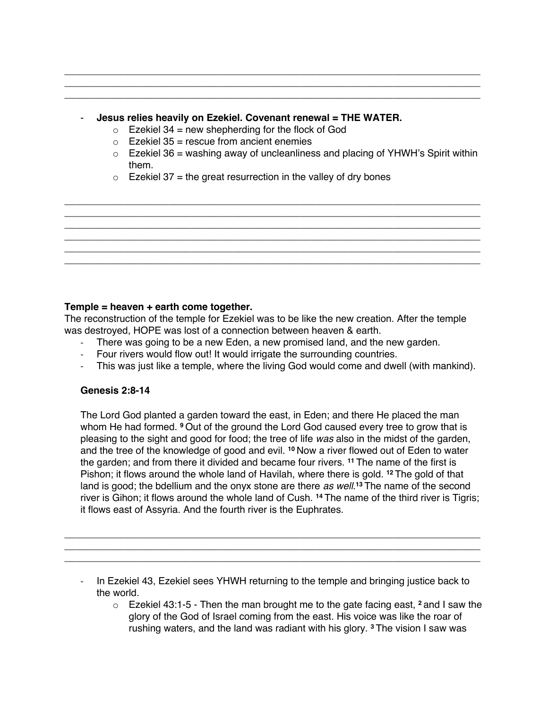# - **Jesus relies heavily on Ezekiel. Covenant renewal = THE WATER.**

\_\_\_\_\_\_\_\_\_\_\_\_\_\_\_\_\_\_\_\_\_\_\_\_\_\_\_\_\_\_\_\_\_\_\_\_\_\_\_\_\_\_\_\_\_\_\_\_\_\_\_\_\_\_\_\_\_\_\_\_\_\_\_\_\_\_\_\_\_\_\_\_\_\_\_\_ \_\_\_\_\_\_\_\_\_\_\_\_\_\_\_\_\_\_\_\_\_\_\_\_\_\_\_\_\_\_\_\_\_\_\_\_\_\_\_\_\_\_\_\_\_\_\_\_\_\_\_\_\_\_\_\_\_\_\_\_\_\_\_\_\_\_\_\_\_\_\_\_\_\_\_\_ \_\_\_\_\_\_\_\_\_\_\_\_\_\_\_\_\_\_\_\_\_\_\_\_\_\_\_\_\_\_\_\_\_\_\_\_\_\_\_\_\_\_\_\_\_\_\_\_\_\_\_\_\_\_\_\_\_\_\_\_\_\_\_\_\_\_\_\_\_\_\_\_\_\_\_\_

- $\circ$  Ezekiel 34 = new shepherding for the flock of God
- $\circ$  Ezekiel 35 = rescue from ancient enemies
- $\circ$  Ezekiel 36 = washing away of uncleanliness and placing of YHWH's Spirit within them.
- $\circ$  Ezekiel 37 = the great resurrection in the valley of dry bones

\_\_\_\_\_\_\_\_\_\_\_\_\_\_\_\_\_\_\_\_\_\_\_\_\_\_\_\_\_\_\_\_\_\_\_\_\_\_\_\_\_\_\_\_\_\_\_\_\_\_\_\_\_\_\_\_\_\_\_\_\_\_\_\_\_\_\_\_\_\_\_\_\_\_\_\_ \_\_\_\_\_\_\_\_\_\_\_\_\_\_\_\_\_\_\_\_\_\_\_\_\_\_\_\_\_\_\_\_\_\_\_\_\_\_\_\_\_\_\_\_\_\_\_\_\_\_\_\_\_\_\_\_\_\_\_\_\_\_\_\_\_\_\_\_\_\_\_\_\_\_\_\_ \_\_\_\_\_\_\_\_\_\_\_\_\_\_\_\_\_\_\_\_\_\_\_\_\_\_\_\_\_\_\_\_\_\_\_\_\_\_\_\_\_\_\_\_\_\_\_\_\_\_\_\_\_\_\_\_\_\_\_\_\_\_\_\_\_\_\_\_\_\_\_\_\_\_\_\_ \_\_\_\_\_\_\_\_\_\_\_\_\_\_\_\_\_\_\_\_\_\_\_\_\_\_\_\_\_\_\_\_\_\_\_\_\_\_\_\_\_\_\_\_\_\_\_\_\_\_\_\_\_\_\_\_\_\_\_\_\_\_\_\_\_\_\_\_\_\_\_\_\_\_\_\_ \_\_\_\_\_\_\_\_\_\_\_\_\_\_\_\_\_\_\_\_\_\_\_\_\_\_\_\_\_\_\_\_\_\_\_\_\_\_\_\_\_\_\_\_\_\_\_\_\_\_\_\_\_\_\_\_\_\_\_\_\_\_\_\_\_\_\_\_\_\_\_\_\_\_\_\_ \_\_\_\_\_\_\_\_\_\_\_\_\_\_\_\_\_\_\_\_\_\_\_\_\_\_\_\_\_\_\_\_\_\_\_\_\_\_\_\_\_\_\_\_\_\_\_\_\_\_\_\_\_\_\_\_\_\_\_\_\_\_\_\_\_\_\_\_\_\_\_\_\_\_\_\_

# **Temple = heaven + earth come together.**

The reconstruction of the temple for Ezekiel was to be like the new creation. After the temple was destroyed, HOPE was lost of a connection between heaven & earth.

- There was going to be a new Eden, a new promised land, and the new garden.
- Four rivers would flow out! It would irrigate the surrounding countries.
- This was just like a temple, where the living God would come and dwell (with mankind).

### **Genesis 2:8-14**

The Lord God planted a garden toward the east, in Eden; and there He placed the man whom He had formed. **<sup>9</sup>** Out of the ground the Lord God caused every tree to grow that is pleasing to the sight and good for food; the tree of life *was* also in the midst of the garden, and the tree of the knowledge of good and evil. **<sup>10</sup>** Now a river flowed out of Eden to water the garden; and from there it divided and became four rivers. **<sup>11</sup>** The name of the first is Pishon; it flows around the whole land of Havilah, where there is gold. **<sup>12</sup>** The gold of that land is good; the bdellium and the onyx stone are there *as well*. **<sup>13</sup>** The name of the second river is Gihon; it flows around the whole land of Cush. **<sup>14</sup>** The name of the third river is Tigris; it flows east of Assyria. And the fourth river is the Euphrates.

- In Ezekiel 43, Ezekiel sees YHWH returning to the temple and bringing justice back to the world.

\_\_\_\_\_\_\_\_\_\_\_\_\_\_\_\_\_\_\_\_\_\_\_\_\_\_\_\_\_\_\_\_\_\_\_\_\_\_\_\_\_\_\_\_\_\_\_\_\_\_\_\_\_\_\_\_\_\_\_\_\_\_\_\_\_\_\_\_\_\_\_\_\_\_\_\_ \_\_\_\_\_\_\_\_\_\_\_\_\_\_\_\_\_\_\_\_\_\_\_\_\_\_\_\_\_\_\_\_\_\_\_\_\_\_\_\_\_\_\_\_\_\_\_\_\_\_\_\_\_\_\_\_\_\_\_\_\_\_\_\_\_\_\_\_\_\_\_\_\_\_\_\_ \_\_\_\_\_\_\_\_\_\_\_\_\_\_\_\_\_\_\_\_\_\_\_\_\_\_\_\_\_\_\_\_\_\_\_\_\_\_\_\_\_\_\_\_\_\_\_\_\_\_\_\_\_\_\_\_\_\_\_\_\_\_\_\_\_\_\_\_\_\_\_\_\_\_\_\_

> o Ezekiel 43:1-5 - Then the man brought me to the gate facing east, **<sup>2</sup>** and I saw the glory of the God of Israel coming from the east. His voice was like the roar of rushing waters, and the land was radiant with his glory. **<sup>3</sup>** The vision I saw was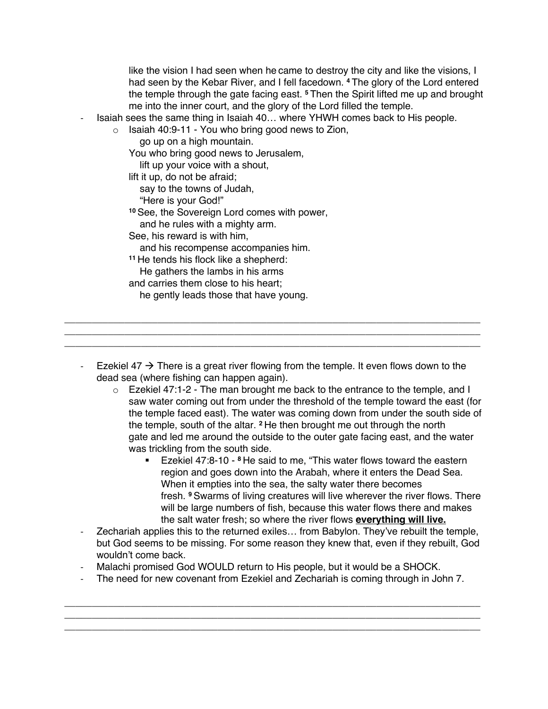like the vision I had seen when he came to destroy the city and like the visions, I had seen by the Kebar River, and I fell facedown. **<sup>4</sup>** The glory of the Lord entered the temple through the gate facing east. **<sup>5</sup>** Then the Spirit lifted me up and brought me into the inner court, and the glory of the Lord filled the temple.

Isaiah sees the same thing in Isaiah 40... where YHWH comes back to His people.

 $\circ$  Isaiah 40:9-11 - You who bring good news to Zion,

go up on a high mountain.

You who bring good news to Jerusalem,

lift up your voice with a shout,

lift it up, do not be afraid;

say to the towns of Judah,

"Here is your God!"

**<sup>10</sup>** See, the Sovereign Lord comes with power,

and he rules with a mighty arm.

See, his reward is with him,

and his recompense accompanies him.

**<sup>11</sup>** He tends his flock like a shepherd:

He gathers the lambs in his arms

and carries them close to his heart;

he gently leads those that have young.

Ezekiel 47  $\rightarrow$  There is a great river flowing from the temple. It even flows down to the dead sea (where fishing can happen again).

\_\_\_\_\_\_\_\_\_\_\_\_\_\_\_\_\_\_\_\_\_\_\_\_\_\_\_\_\_\_\_\_\_\_\_\_\_\_\_\_\_\_\_\_\_\_\_\_\_\_\_\_\_\_\_\_\_\_\_\_\_\_\_\_\_\_\_\_\_\_\_\_\_\_\_\_ \_\_\_\_\_\_\_\_\_\_\_\_\_\_\_\_\_\_\_\_\_\_\_\_\_\_\_\_\_\_\_\_\_\_\_\_\_\_\_\_\_\_\_\_\_\_\_\_\_\_\_\_\_\_\_\_\_\_\_\_\_\_\_\_\_\_\_\_\_\_\_\_\_\_\_\_ \_\_\_\_\_\_\_\_\_\_\_\_\_\_\_\_\_\_\_\_\_\_\_\_\_\_\_\_\_\_\_\_\_\_\_\_\_\_\_\_\_\_\_\_\_\_\_\_\_\_\_\_\_\_\_\_\_\_\_\_\_\_\_\_\_\_\_\_\_\_\_\_\_\_\_\_

- $\circ$  Ezekiel 47:1-2 The man brought me back to the entrance to the temple, and I saw water coming out from under the threshold of the temple toward the east (for the temple faced east). The water was coming down from under the south side of the temple, south of the altar. **<sup>2</sup>** He then brought me out through the north gate and led me around the outside to the outer gate facing east, and the water was trickling from the south side.
	- § Ezekiel 47:8-10 **<sup>8</sup>** He said to me, "This water flows toward the eastern region and goes down into the Arabah, where it enters the Dead Sea. When it empties into the sea, the salty water there becomes fresh. **<sup>9</sup>** Swarms of living creatures will live wherever the river flows. There will be large numbers of fish, because this water flows there and makes the salt water fresh; so where the river flows **everything will live.**
- Zechariah applies this to the returned exiles... from Babylon. They've rebuilt the temple, but God seems to be missing. For some reason they knew that, even if they rebuilt, God wouldn't come back.
- Malachi promised God WOULD return to His people, but it would be a SHOCK.
- The need for new covenant from Ezekiel and Zechariah is coming through in John 7.

\_\_\_\_\_\_\_\_\_\_\_\_\_\_\_\_\_\_\_\_\_\_\_\_\_\_\_\_\_\_\_\_\_\_\_\_\_\_\_\_\_\_\_\_\_\_\_\_\_\_\_\_\_\_\_\_\_\_\_\_\_\_\_\_\_\_\_\_\_\_\_\_\_\_\_\_ \_\_\_\_\_\_\_\_\_\_\_\_\_\_\_\_\_\_\_\_\_\_\_\_\_\_\_\_\_\_\_\_\_\_\_\_\_\_\_\_\_\_\_\_\_\_\_\_\_\_\_\_\_\_\_\_\_\_\_\_\_\_\_\_\_\_\_\_\_\_\_\_\_\_\_\_ \_\_\_\_\_\_\_\_\_\_\_\_\_\_\_\_\_\_\_\_\_\_\_\_\_\_\_\_\_\_\_\_\_\_\_\_\_\_\_\_\_\_\_\_\_\_\_\_\_\_\_\_\_\_\_\_\_\_\_\_\_\_\_\_\_\_\_\_\_\_\_\_\_\_\_\_